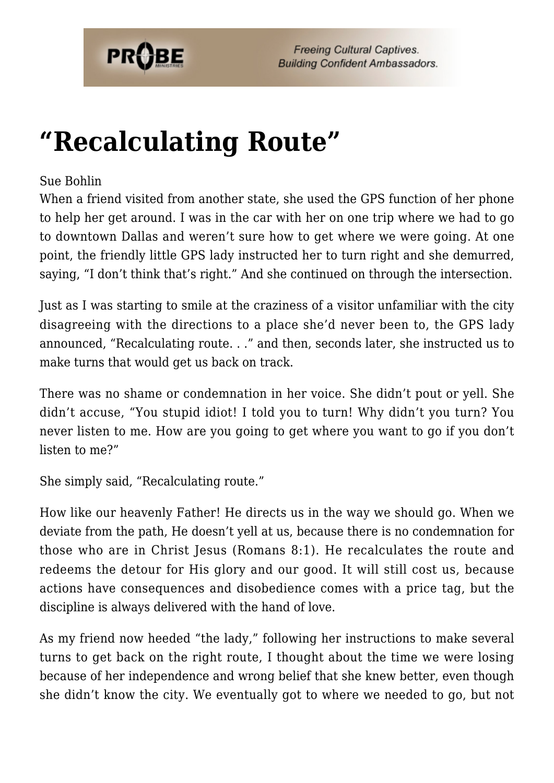

## **["Recalculating Route"](https://probe.org/recalculating-route/)**

## Sue Bohlin

When a friend visited from another state, she used the GPS function of her phone to help her get around. I was in the car with her on one trip where we had to go to downtown Dallas and weren't sure how to get where we were going. At one point, the friendly little GPS lady instructed her to turn right and she demurred, saying, "I don't think that's right." And she continued on through the intersection.

Just as I was starting to smile at the craziness of a visitor unfamiliar with the city disagreeing with the directions to a place she'd never been to, the GPS lady announced, "Recalculating route. . ." and then, seconds later, she instructed us to make turns that would get us back on track.

There was no shame or condemnation in her voice. She didn't pout or yell. She didn't accuse, "You stupid idiot! I told you to turn! Why didn't you turn? You never listen to me. How are you going to get where you want to go if you don't listen to me?"

She simply said, "Recalculating route."

How like our heavenly Father! He directs us in the way we should go. When we deviate from the path, He doesn't yell at us, because there is no condemnation for those who are in Christ Jesus (Romans 8:1). He recalculates the route and redeems the detour for His glory and our good. It will still cost us, because actions have consequences and disobedience comes with a price tag, but the discipline is always delivered with the hand of love.

As my friend now heeded "the lady," following her instructions to make several turns to get back on the right route, I thought about the time we were losing because of her independence and wrong belief that she knew better, even though she didn't know the city. We eventually got to where we needed to go, but not